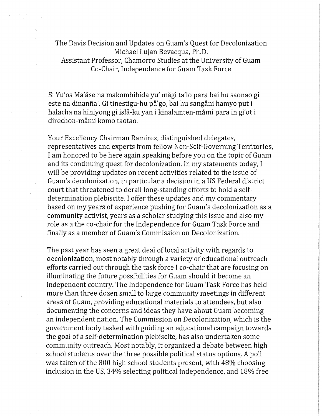The Davis Decision and Updates on Guam's Quest for Decolonization Michael Lujan Bevacqua, Ph.D. Assistant Professor, Chamorro Studies at the University of Guam Co-Chair, Independence for Guam Task Force

Si Yu'os Ma'åse na makombibida yu' mågi ta'lo para bai hu saonao gi este na dinanña'. Gi tinestigu-hu på'go, bai hu sangåni hamyo put i halacha na hiniyong gi islå-ku yan i kinalamten-måmi para in gi'ot i direchon-måmi komo taotao.

Your Excellency Chairman Ramirez, distinguished delegates, representatives and experts from fellow Non-Self-Governing Territories, I am honored to be here again speaking before you on the topic of Guam and its continuing quest for decolonization. In my statements today, I will be providing updates on recent activities related to the issue of Guam's decolonization, in particular a decision in a US Federal district court that threatened to derail long-standing efforts to hold a selfdetermination plebiscite. I offer these updates and my commentary based on my years of experience pushing for Guam's decolonization as a community activist, years as a scholar studying this issue and also my role as a the co-chair for the Independence for Guam Task Force and finally as a member of Guam's Commission on Decolonization.

The past year has seen a great deal of local activity with regards to decolonization, most notably through a variety of educational outreach efforts carried out through the task force I co-chair that are focusing on illuminating the future possibilities for Guam should it become an independent country. The Independence for Guam Task Force has held more than three dozen small to large community meetings in different areas of Guam, providing educational materials to attendees, but also documenting the concerns and ideas they have about Guam becoming an independent nation. The Commission on Decolonization, which is the government body tasked with guiding an educational campaign towards the goal of a self-determination plebiscite, has also undertaken some community outreach. Most notably, it organized a debate between high school students over the three possible political status options, A poll was taken of the 800 high school students present, with 48% choosing inclusion in the US, 34% selecting political independence, and 18% free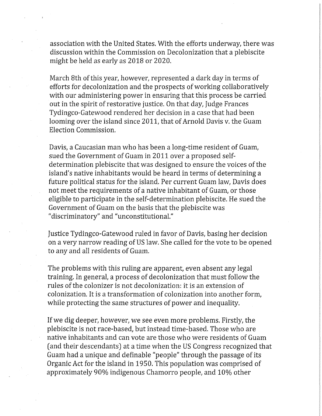association with the United States. With the efforts underway, there was discussion within the Commission on Decolonization that a plebiscite might be held as early as 2018 or 2020.

March 8th of this year, however, represented a dark day in terms of efforts for decolonization and the prospects of working collaboratively with our administering power in ensuring that this process be carried out in the spirit of restorative justice. On that day, Judge Frances Tydingco-Gatewood rendered her decision in a case that had been looming over the island since 2011, that of Arnold Davis v. the Guam Election Commission.

Davis, a Caucasian man who has been a long-time resident of Guam, sued the Government of Guam in 2011 over a proposed selfdetermination plebiscite that was designed to ensure the voices of the island's native inhabitants would be heard in terms of determining a future political status for the island. Per current Guam law, Davis does not meet the requirements of a native inhabitant of Guam, or those eligible to participate in the self-determination plebiscite. He sued the Government of Guam on the basis that the plebiscite was "discriminatory" and "unconstitutional."

Justice Tydingco-Gatewood ruled in favor of Davis, basing her decision on a very narrow reading of US law. She called for the vote to be opened to any and all residents of Guam.

The problems with this ruling are apparent, even absent any legal training. In general, a process of decolonization that must follow the rules of the colonizer is not decolonization: it is an extension of colonization. It is a transformation of colonization into another form, while protecting the same structures of power and inequality.

If we dig deeper, however, we see even more problems. Firstly, the plebiscite is not race-based, but instead time-based. Those who are native inhabitants and can vote are those who were residents of Guam (and their descendants) at a time when the US Congress recognized that Guam had a unique and definable "people" through the passage of its Organic Act for the island in 1950. This population was comprised of approximately 90% indigenous Chamorro people, and 10% other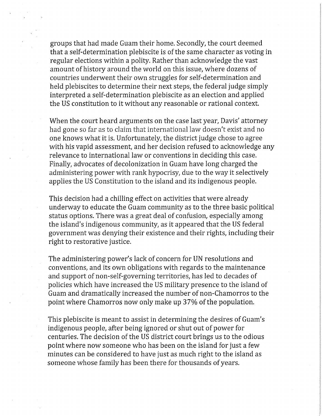groups that had made Guam their home. Secondly, the court deemed that a self-determination plebiscite is of the same character as voting in regular elections within a polity. Rather than acknowledge the vast amount of history around the world on this issue, where dozens of countries underwent their own struggles for self-determination and held plebiscites to determine their next steps, the federal judge simply interpreted a self-determination plebiscite as an election and applied the US constitution to it without any reasonable or rational context.

When the court heard arguments on the case last year, Davis' attorney had gone so far as to claim that international law doesn't exist and no one knows what it is. Unfortunately, the district judge chose to agree with his vapid assessment, and her decision refused to acknowledge any relevance to international law or conventions in deciding this case. Finally, advocates of decolonization in Guam have long charged the administering power with rank hypocrisy, due to the way it selectively applies the US Constitution to the island and its indigenous people.

This decision had a chilling effect on activities that were already underway to educate the Guam community as to the three basic political status options. There was a great deal of confusion, especially among the island's indigenous community, as it appeared that the US federal government was denying their existence and their rights, including their right to restorative justice.

The administering power's lack of concern for UN resolutions and conventions, and its own obligations with regards to the maintenance and support of non-self-governing territories, has led to decades of policies which have increased the US military presence to the island of Guam and dramatically increased the number of non-Chamorros to the point where Chamorros now only make up 37% of the population.

This plebiscite is meant to assist in determining the desires of Guam's indigenous people, after being ignored or shut out of power for centuries. The decision of the US district court brings us to the odious point where now someone who has been on the island for just a few minutes can be considered to have just as much right to the island as someone whose family has been there for thousands of years.